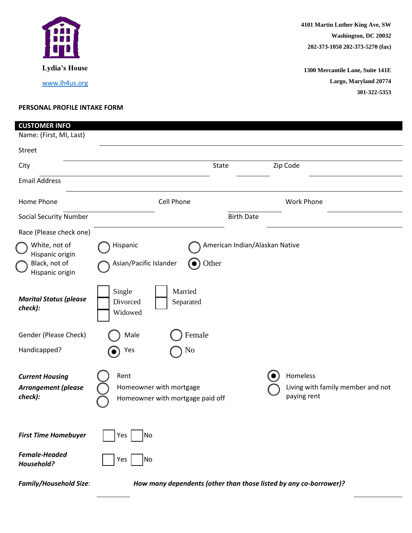

**1300 Mercantile Lane, Suite 141E Largo, Maryland 20774 301-322-5353**

## **PERSONAL PROFILE INTAKE FORM**

| <b>CUSTOMER INFO</b>                                                 |                                                                     |                                         |                                                                   |
|----------------------------------------------------------------------|---------------------------------------------------------------------|-----------------------------------------|-------------------------------------------------------------------|
| Name: (First, MI, Last)                                              |                                                                     |                                         |                                                                   |
| Street                                                               |                                                                     |                                         |                                                                   |
| City                                                                 |                                                                     | <b>State</b>                            | Zip Code                                                          |
| <b>Email Address</b>                                                 |                                                                     |                                         |                                                                   |
| Home Phone                                                           | <b>Cell Phone</b>                                                   |                                         | <b>Work Phone</b>                                                 |
| <b>Social Security Number</b>                                        |                                                                     | <b>Birth Date</b>                       |                                                                   |
| Race (Please check one)                                              |                                                                     |                                         |                                                                   |
| White, not of<br>Hispanic origin<br>Black, not of<br>Hispanic origin | Hispanic<br>Asian/Pacific Islander                                  | American Indian/Alaskan Native<br>Other |                                                                   |
| <b>Marital Status (please</b><br>check):                             | Single<br>Married<br>Divorced<br>Separated<br>Widowed               |                                         |                                                                   |
| Gender (Please Check)                                                | Female<br>Male                                                      |                                         |                                                                   |
| Handicapped?                                                         | No<br>Yes                                                           |                                         |                                                                   |
| <b>Current Housing</b><br><b>Arrangement (please</b><br>check):      | Rent<br>Homeowner with mortgage<br>Homeowner with mortgage paid off |                                         | Homeless<br>Living with family member and not<br>paying rent      |
| <b>First Time Homebuyer</b>                                          | Yes<br>Νo                                                           |                                         |                                                                   |
| <b>Female-Headed</b><br>Household?                                   | Yes<br>Νo                                                           |                                         |                                                                   |
| <b>Family/Household Size:</b>                                        |                                                                     |                                         | How many dependents (other than those listed by any co-borrower)? |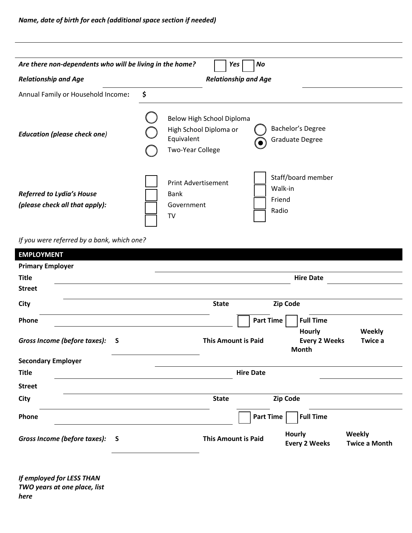| Are there non-dependents who will be living in the home?           | No<br>Yes                                                                                                                                   |
|--------------------------------------------------------------------|---------------------------------------------------------------------------------------------------------------------------------------------|
| <b>Relationship and Age</b>                                        | <b>Relationship and Age</b>                                                                                                                 |
| Annual Family or Household Income:                                 | \$                                                                                                                                          |
| <b>Education (please check one)</b>                                | Below High School Diploma<br>Bachelor's Degree<br>High School Diploma or<br>Equivalent<br><b>Graduate Degree</b><br><b>Two-Year College</b> |
| <b>Referred to Lydia's House</b><br>(please check all that apply): | Staff/board member<br><b>Print Advertisement</b><br>Walk-in<br><b>Bank</b><br>Friend<br>Government<br>Radio<br>TV                           |

*If you were referred by a bank, which one?*

| <b>EMPLOYMENT</b>              |          |                            |                                                                         |
|--------------------------------|----------|----------------------------|-------------------------------------------------------------------------|
| <b>Primary Employer</b>        |          |                            |                                                                         |
| <b>Title</b>                   |          |                            | <b>Hire Date</b>                                                        |
| <b>Street</b>                  |          |                            |                                                                         |
| City                           |          | <b>State</b>               | <b>Zip Code</b>                                                         |
| Phone                          |          | <b>Part Time</b>           | <b>Full Time</b>                                                        |
| Gross Income (before taxes):   | <b>S</b> | <b>This Amount is Paid</b> | <b>Hourly</b><br>Weekly<br><b>Every 2 Weeks</b><br>Twice a<br>Month     |
| <b>Secondary Employer</b>      |          |                            |                                                                         |
| <b>Title</b>                   |          | <b>Hire Date</b>           |                                                                         |
| <b>Street</b>                  |          |                            |                                                                         |
| City                           |          | <b>State</b>               | <b>Zip Code</b>                                                         |
| Phone                          |          | <b>Part Time</b>           | <b>Full Time</b>                                                        |
| Gross Income (before taxes): S |          | <b>This Amount is Paid</b> | Weekly<br><b>Hourly</b><br><b>Twice a Month</b><br><b>Every 2 Weeks</b> |
|                                |          |                            |                                                                         |

*If employed for LESS THAN TWO years at one place, list here*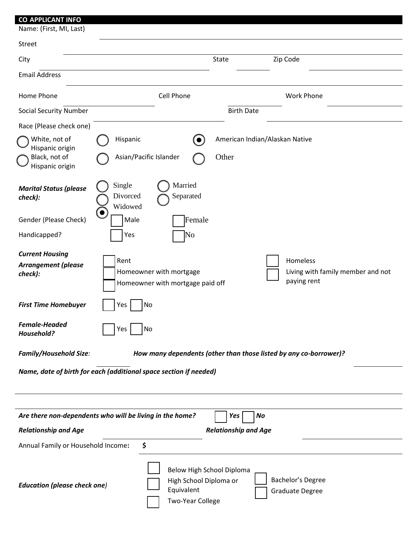## **CO-APPLICANT INFO** Name: (First, MI, Last) Street City **State** City **State** 2ip Code Email Address Home Phone Cell Phone Work Phone Social Security Number **Birth Date** Race (Please check one) White, not of Hispanic origin Hispanic **(e)** American Indian/Alaskan Native Black, not of Hispanic origin Asian/Pacific Islander  $\bigcap$  Other *Marital Status (please check):* Single ( ) Married Divorced Separated Widowed Gender (Please Check) | Male Female Handicapped? | | | Yes | | | No *Current Housing Arrangement (please check):* Rent Homeowner with mortgage Homeowner with mortgage paid off Homeless Living with family member and not paying rent **First Time Homebuyer** | | Yes | | No *Female-Headed Household?* Monthly Yes No. *Family/Household Size: How many dependents (other than those listed by any co-borrower)? Name, date of birth for each (additional space section if needed)* Are there non-dependents who will be living in the home? | | Yes | | No *Relationship and Age Relationship and Age* Annual Family or Household Income**: \$**

| <b>Education (please check one)</b> | Below High School Diploma<br>Bachelor's Degree<br>High School Diploma or<br>Equivalent<br><b>Graduate Degree</b><br><b>Two-Year College</b> |
|-------------------------------------|---------------------------------------------------------------------------------------------------------------------------------------------|
|-------------------------------------|---------------------------------------------------------------------------------------------------------------------------------------------|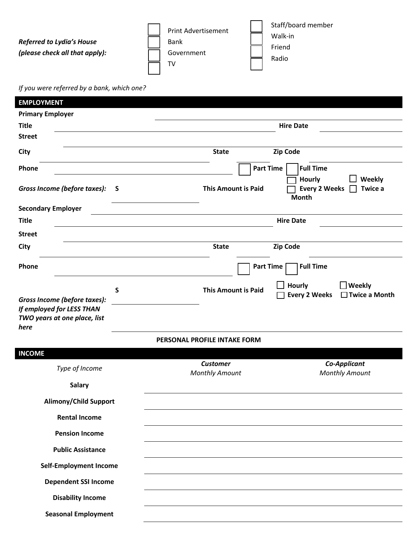|                                  | <b>Print Advertisement</b> | Staff/board member |
|----------------------------------|----------------------------|--------------------|
| <b>Referred to Lydia's House</b> | <b>Bank</b>                | Walk-in<br>Friend  |
| (please check all that apply):   | Government                 | Radio              |
|                                  | тν                         |                    |

*If you were referred by a bank, which one?*

| <b>EMPLOYMENT</b>                                                                                      |                                                                                                          |
|--------------------------------------------------------------------------------------------------------|----------------------------------------------------------------------------------------------------------|
| <b>Primary Employer</b>                                                                                |                                                                                                          |
| <b>Title</b>                                                                                           | <b>Hire Date</b>                                                                                         |
| <b>Street</b>                                                                                          |                                                                                                          |
| City                                                                                                   | <b>Zip Code</b><br><b>State</b>                                                                          |
| Phone                                                                                                  | <b>Part Time</b><br><b>Full Time</b>                                                                     |
| Gross Income (before taxes):<br>S                                                                      | Weekly<br><b>Hourly</b><br><b>This Amount is Paid</b><br><b>Every 2 Weeks</b><br>Twice a<br><b>Month</b> |
| <b>Secondary Employer</b>                                                                              |                                                                                                          |
| <b>Title</b>                                                                                           | <b>Hire Date</b>                                                                                         |
| <b>Street</b>                                                                                          |                                                                                                          |
| City                                                                                                   | <b>Zip Code</b><br><b>State</b>                                                                          |
| Phone                                                                                                  | <b>Part Time</b><br><b>Full Time</b>                                                                     |
| S<br>Gross Income (before taxes):<br>If employed for LESS THAN<br>TWO years at one place, list<br>here | <b>Hourly</b><br>$\Box$ Weekly<br><b>This Amount is Paid</b><br><b>Every 2 Weeks</b><br>□ Twice a Month  |
|                                                                                                        | PERSONAL PROFILE INTAKE FORM                                                                             |
| <b>INCOME</b>                                                                                          |                                                                                                          |
| Type of Income                                                                                         | <b>Customer</b><br>Co-Applicant<br><b>Monthly Amount</b><br><b>Monthly Amount</b>                        |
| <b>Salary</b>                                                                                          |                                                                                                          |
| <b>Alimony/Child Support</b>                                                                           |                                                                                                          |
| <b>Rental Income</b>                                                                                   |                                                                                                          |
| <b>Pension Income</b>                                                                                  |                                                                                                          |
| <b>Public Assistance</b>                                                                               |                                                                                                          |
| <b>Self-Employment Income</b>                                                                          |                                                                                                          |
| <b>Dependent SSI Income</b>                                                                            |                                                                                                          |
| <b>Disability Income</b>                                                                               |                                                                                                          |
| <b>Seasonal Employment</b>                                                                             |                                                                                                          |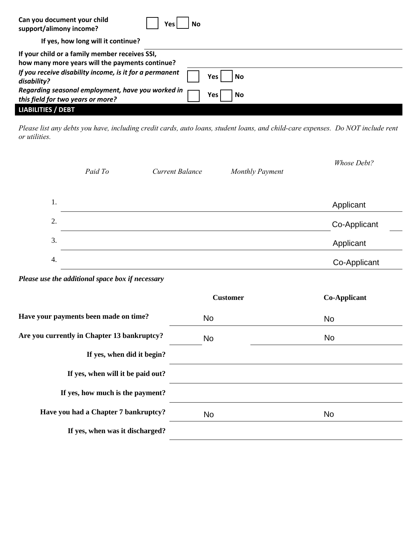| Can you document your child<br>Yes.<br>support/alimony income?                                    | No        |
|---------------------------------------------------------------------------------------------------|-----------|
| If yes, how long will it continue?                                                                |           |
| If your child or a family member receives SSI,<br>how many more years will the payments continue? |           |
| If you receive disability income, is it for a permanent<br>disability?                            | No<br>Yes |
| Regarding seasonal employment, have you worked in<br>this field for two years or more?            | No<br>Yes |
| <b>LIABILITIES / DEBT</b>                                                                         |           |

*Please list any debts you have, including credit cards, auto loans, student loans, and child-care expenses. Do NOT include rent or utilities.*

|    | Paid To                                          | <b>Current Balance</b> | <b>Monthly Payment</b> | Whose Debt?         |
|----|--------------------------------------------------|------------------------|------------------------|---------------------|
| 1. |                                                  |                        |                        | Applicant           |
| 2. |                                                  |                        |                        | Co-Applicant        |
| 3. |                                                  |                        |                        | Applicant           |
| 4. |                                                  |                        |                        | Co-Applicant        |
|    | Please use the additional space box if necessary |                        |                        |                     |
|    |                                                  |                        | <b>Customer</b>        | <b>Co-Applicant</b> |
|    | Have your payments been made on time?            | <b>No</b>              |                        | <b>No</b>           |
|    | Are you currently in Chapter 13 bankruptcy?      | <b>No</b>              |                        | No                  |
|    | If yes, when did it begin?                       |                        |                        |                     |
|    | If yes, when will it be paid out?                |                        |                        |                     |
|    | If yes, how much is the payment?                 |                        |                        |                     |
|    | Have you had a Chapter 7 bankruptcy?             | <b>No</b>              |                        | <b>No</b>           |
|    | If yes, when was it discharged?                  |                        |                        |                     |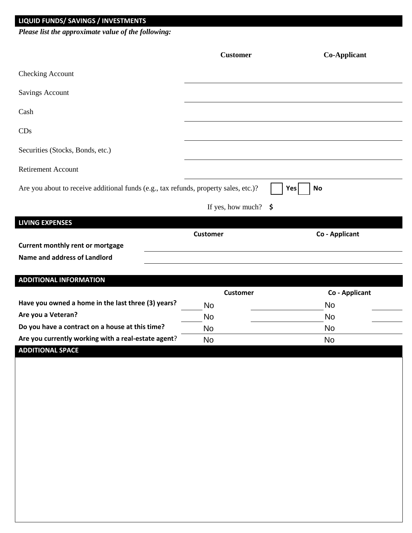## **LIQUID FUNDS/ SAVINGS / INVESTMENTS**

*Please list the approximate value of the following:*

|                                                                                      | <b>Customer</b>                 | <b>Co-Applicant</b> |
|--------------------------------------------------------------------------------------|---------------------------------|---------------------|
| Checking Account                                                                     |                                 |                     |
| <b>Savings Account</b>                                                               |                                 |                     |
| Cash                                                                                 |                                 |                     |
| CDs                                                                                  |                                 |                     |
| Securities (Stocks, Bonds, etc.)                                                     |                                 |                     |
| <b>Retirement Account</b>                                                            |                                 |                     |
| Are you about to receive additional funds (e.g., tax refunds, property sales, etc.)? |                                 | Yes<br><b>No</b>    |
|                                                                                      | If yes, how much? $\frac{1}{5}$ |                     |
| <b>LIVING EXPENSES</b>                                                               |                                 |                     |
|                                                                                      | <b>Customer</b>                 | Co - Applicant      |
| Current monthly rent or mortgage                                                     |                                 |                     |
| Name and address of Landlord                                                         |                                 |                     |
| <b>ADDITIONAL INFORMATION</b>                                                        |                                 |                     |
|                                                                                      | <b>Customer</b>                 | Co - Applicant      |
|                                                                                      |                                 |                     |
| Have you owned a home in the last three (3) years?                                   |                                 |                     |
| Are you a Veteran?                                                                   | No                              | No                  |
| Do you have a contract on a house at this time?                                      | <b>No</b>                       | No                  |
| Are you currently working with a real-estate agent?                                  | <b>No</b>                       | No                  |
| <b>ADDITIONAL SPACE</b>                                                              | <b>No</b>                       | <b>No</b>           |